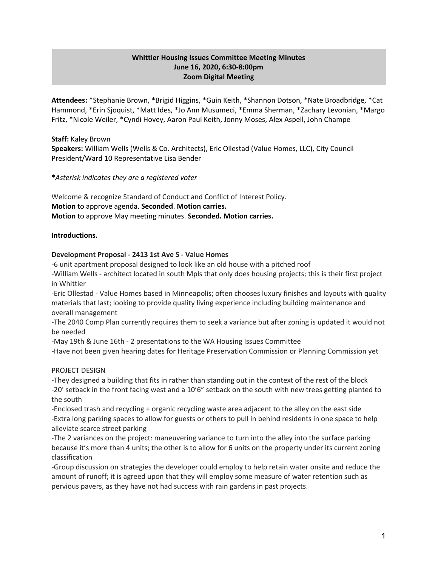# **Whittier Housing Issues Committee Meeting Minutes June 16, 2020, 6:30-8:00pm Zoom Digital Meeting**

**Attendees:** \*Stephanie Brown, **\***Brigid Higgins, \*Guin Keith, \*Shannon Dotson, \*Nate Broadbridge, \*Cat Hammond, \*Erin Sjoquist, \*Matt Ides, \*Jo Ann Musumeci, \*Emma Sherman, \*Zachary Levonian, \*Margo Fritz, \*Nicole Weiler, \*Cyndi Hovey, Aaron Paul Keith, Jonny Moses, Alex Aspell, John Champe

### **Staff:** Kaley Brown

**Speakers:** William Wells (Wells & Co. Architects), Eric Ollestad (Value Homes, LLC), City Council President/Ward 10 Representative Lisa Bender

### **\****Asterisk indicates they are a registered voter*

Welcome & recognize Standard of Conduct and Conflict of Interest Policy. **Motion** to approve agenda. **Seconded**. **Motion carries. Motion** to approve May meeting minutes. **Seconded. Motion carries.**

## **Introductions.**

### **Development Proposal - 2413 1st Ave S - Value Homes**

-6 unit apartment proposal designed to look like an old house with a pitched roof -William Wells - architect located in south Mpls that only does housing projects; this is their first project in Whittier

-Eric Ollestad - Value Homes based in Minneapolis; often chooses luxury finishes and layouts with quality materials that last; looking to provide quality living experience including building maintenance and overall management

-The 2040 Comp Plan currently requires them to seek a variance but after zoning is updated it would not be needed

-May 19th & June 16th - 2 presentations to the WA Housing Issues Committee

-Have not been given hearing dates for Heritage Preservation Commission or Planning Commission yet

PROJECT DESIGN

-They designed a building that fits in rather than standing out in the context of the rest of the block -20' setback in the front facing west and a 10'6" setback on the south with new trees getting planted to the south

-Enclosed trash and recycling + organic recycling waste area adjacent to the alley on the east side -Extra long parking spaces to allow for guests or others to pull in behind residents in one space to help alleviate scarce street parking

-The 2 variances on the project: maneuvering variance to turn into the alley into the surface parking because it's more than 4 units; the other is to allow for 6 units on the property under its current zoning classification

-Group discussion on strategies the developer could employ to help retain water onsite and reduce the amount of runoff; it is agreed upon that they will employ some measure of water retention such as pervious pavers, as they have not had success with rain gardens in past projects.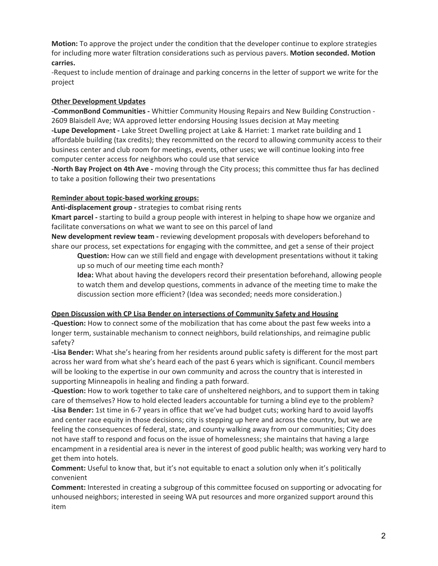**Motion:** To approve the project under the condition that the developer continue to explore strategies for including more water filtration considerations such as pervious pavers. **Motion seconded. Motion carries.**

-Request to include mention of drainage and parking concerns in the letter of support we write for the project

## **Other Development Updates**

**-CommonBond Communities -** Whittier Community Housing Repairs and New Building Construction - 2609 Blaisdell Ave; WA approved letter endorsing Housing Issues decision at May meeting **-Lupe Development -** Lake Street Dwelling project at Lake & Harriet: 1 market rate building and 1 affordable building (tax credits); they recommitted on the record to allowing community access to their business center and club room for meetings, events, other uses; we will continue looking into free computer center access for neighbors who could use that service

**-North Bay Project on 4th Ave -** moving through the City process; this committee thus far has declined to take a position following their two presentations

### **Reminder about topic-based working groups:**

**Anti-displacement group -** strategies to combat rising rents

**Kmart parcel -** starting to build a group people with interest in helping to shape how we organize and facilitate conversations on what we want to see on this parcel of land

**New development review team -** reviewing development proposals with developers beforehand to share our process, set expectations for engaging with the committee, and get a sense of their project

**Question:** How can we still field and engage with development presentations without it taking up so much of our meeting time each month?

**Idea:** What about having the developers record their presentation beforehand, allowing people to watch them and develop questions, comments in advance of the meeting time to make the discussion section more efficient? (Idea was seconded; needs more consideration.)

### **Open Discussion with CP Lisa Bender on intersections of Community Safety and Housing**

**-Question:** How to connect some of the mobilization that has come about the past few weeks into a longer term, sustainable mechanism to connect neighbors, build relationships, and reimagine public safety?

**-Lisa Bender:** What she's hearing from her residents around public safety is different for the most part across her ward from what she's heard each of the past 6 years which is significant. Council members will be looking to the expertise in our own community and across the country that is interested in supporting Minneapolis in healing and finding a path forward.

**-Question:** How to work together to take care of unsheltered neighbors, and to support them in taking care of themselves? How to hold elected leaders accountable for turning a blind eye to the problem? **-Lisa Bender:** 1st time in 6-7 years in office that we've had budget cuts; working hard to avoid layoffs and center race equity in those decisions; city is stepping up here and across the country, but we are feeling the consequences of federal, state, and county walking away from our communities; City does not have staff to respond and focus on the issue of homelessness; she maintains that having a large encampment in a residential area is never in the interest of good public health; was working very hard to get them into hotels.

**Comment:** Useful to know that, but it's not equitable to enact a solution only when it's politically convenient

**Comment:** Interested in creating a subgroup of this committee focused on supporting or advocating for unhoused neighbors; interested in seeing WA put resources and more organized support around this item